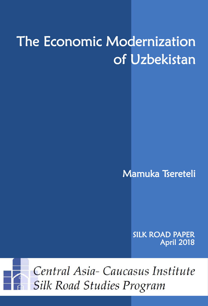# The Economic Modernization of Uzbekistan

Mamuka Tsereteli

SILK ROAD PAPER April 2018



Central Asia-Caucasus Institute **Silk Road Studies Program**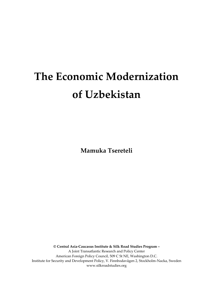## **The Economic Modernization of Uzbekistan**

**Mamuka Tsereteli**

**© Central Asia-Caucasus Institute & Silk Road Studies Program –** A Joint Transatlantic Research and Policy Center American Foreign Policy Council, 509 C St NE, Washington D.C. Institute for Security and Development Policy, V. Finnbodavägen 2, Stockholm-Nacka, Sweden www.silkroadstudies.org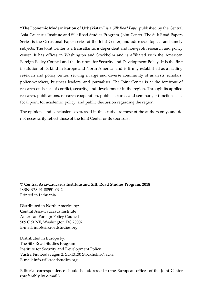"**The Economic Modernization of Uzbekistan**" is a *Silk Road Paper* published by the Central Asia-Caucasus Institute and Silk Road Studies Program, Joint Center. The Silk Road Papers Series is the Occasional Paper series of the Joint Center, and addresses topical and timely subjects. The Joint Center is a transatlantic independent and non-profit research and policy center. It has offices in Washington and Stockholm and is affiliated with the American Foreign Policy Council and the Institute for Security and Development Policy. It is the first institution of its kind in Europe and North America, and is firmly established as a leading research and policy center, serving a large and diverse community of analysts, scholars, policy-watchers, business leaders, and journalists. The Joint Center is at the forefront of research on issues of conflict, security, and development in the region. Through its applied research, publications, research cooperation, public lectures, and seminars, it functions as a focal point for academic, policy, and public discussion regarding the region.

The opinions and conclusions expressed in this study are those of the authors only, and do not necessarily reflect those of the Joint Center or its sponsors.

**© Central Asia-Caucasus Institute and Silk Road Studies Program, 2018** ISBN: 978-91-88551-09-2 Printed in Lithuania

Distributed in North America by: Central Asia-Caucasus Institute American Foreign Policy Council 509 C St NE, Washington DC 20002 E-mail: info@silkroadstudies.org

Distributed in Europe by: The Silk Road Studies Program Institute for Security and Development Policy Västra Finnbodavägen 2, SE-13130 Stockholm-Nacka E-mail: info@silkroadstudies.org

Editorial correspondence should be addressed to the European offices of the Joint Center (preferably by e-mail.)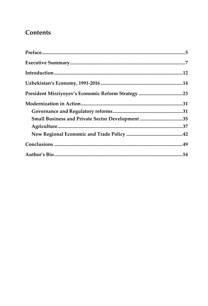## **Contents**

| Small Business and Private Sector Development 35 |  |
|--------------------------------------------------|--|
|                                                  |  |
|                                                  |  |
|                                                  |  |
|                                                  |  |
|                                                  |  |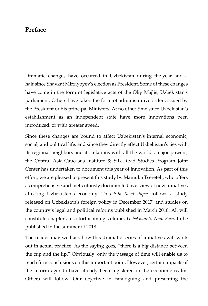### <span id="page-6-0"></span>**Preface**

Dramatic changes have occurred in Uzbekistan during the year and a half since Shavkat Mirziyoyev's election as President. Some of these changes have come in the form of legislative acts of the Oliy Majlis, Uzbekistan's parliament. Others have taken the form of administrative orders issued by the President or his principal Ministers. At no other time since Uzbekistan's establishment as an independent state have more innovations been introduced, or with greater speed.

Since these changes are bound to affect Uzbekistan's internal economic, social, and political life, and since they directly affect Uzbekistan's ties with its regional neighbors and its relations with all the world's major powers, the Central Asia-Caucasus Institute & Silk Road Studies Program Joint Center has undertaken to document this year of innovation. As part of this effort, we are pleased to present this study by Mamuka Tsereteli, who offers a comprehensive and meticulously documented overview of new initiatives affecting Uzbekistan's economy. This *Silk Road Paper* follows a study released on Uzbekistan's foreign policy in December 2017, and studies on the country's legal and political reforms published in March 2018. All will constitute chapters in a forthcoming volume, *Uzbekistan's New Face*, to be published in the summer of 2018.

The reader may well ask how this dramatic series of initiatives will work out in actual practice. As the saying goes, "there is a big distance between the cup and the lip." Obviously, only the passage of time will enable us to reach firm conclusions on this important point. However, certain impacts of the reform agenda have already been registered in the economic realm. Others will follow. Our objective in cataloguing and presenting the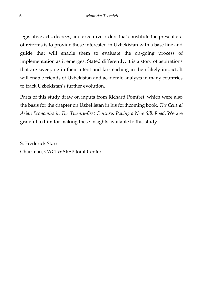legislative acts, decrees, and executive orders that constitute the present era of reforms is to provide those interested in Uzbekistan with a base line and guide that will enable them to evaluate the on-going process of implementation as it emerges. Stated differently, it is a story of aspirations that are sweeping in their intent and far-reaching in their likely impact. It will enable friends of Uzbekistan and academic analysts in many countries to track Uzbekistan's further evolution.

Parts of this study draw on inputs from Richard Pomfret, which were also the basis for the chapter on Uzbekistan in his forthcoming book, *The Central Asian Economies in The Twenty-first Century: Paving a New Silk Road*. We are grateful to him for making these insights available to this study.

S. Frederick Starr Chairman, CACI & SRSP Joint Center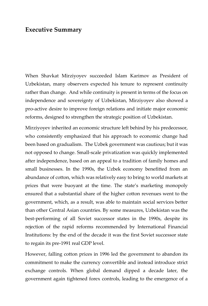#### <span id="page-8-0"></span>**Executive Summary**

When Shavkat Mirziyoyev succeeded Islam Karimov as President of Uzbekistan, many observers expected his tenure to represent continuity rather than change. And while continuity is present in terms of the focus on independence and sovereignty of Uzbekistan, Mirziyoyev also showed a pro-active desire to improve foreign relations and initiate major economic reforms, designed to strengthen the strategic position of Uzbekistan.

Mirziyoyev inherited an economic structure left behind by his predecessor, who consistently emphasized that his approach to economic change had been based on gradualism. The Uzbek government was cautious; but it was not opposed to change. Small-scale privatization was quickly implemented after independence, based on an appeal to a tradition of family homes and small businesses. In the 1990s, the Uzbek economy benefitted from an abundance of cotton, which was relatively easy to bring to world markets at prices that were buoyant at the time. The state's marketing monopoly ensured that a substantial share of the higher cotton revenues went to the government, which, as a result, was able to maintain social services better than other Central Asian countries. By some measures, Uzbekistan was the best-performing of all Soviet successor states in the 1990s, despite its rejection of the rapid reforms recommended by International Financial Institutions: by the end of the decade it was the first Soviet successor state to regain its pre-1991 real GDP level.

However, falling cotton prices in 1996 led the government to abandon its commitment to make the currency convertible and instead introduce strict exchange controls. When global demand dipped a decade later, the government again tightened forex controls, leading to the emergence of a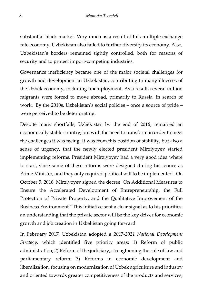substantial black market. Very much as a result of this multiple exchange rate economy, Uzbekistan also failed to further diversify its economy. Also, Uzbekistan's borders remained tightly controlled, both for reasons of security and to protect import-competing industries.

Governance inefficiency became one of the major societal challenges for growth and development in Uzbekistan, contributing to many illnesses of the Uzbek economy, including unemployment. As a result, several million migrants were forced to move abroad, primarily to Russia, in search of work. By the 2010s, Uzbekistan's social policies – once a source of pride – were perceived to be deteriorating.

Despite many shortfalls, Uzbekistan by the end of 2016, remained an economically stable country, but with the need to transform in order to meet the challenges it was facing. It was from this position of stability, but also a sense of urgency, that the newly elected president Mirziyoyev started implementing reforms. President Mirziyoyev had a very good idea where to start, since some of these reforms were designed during his tenure as Prime Minister, and they only required political will to be implemented. On October 5, 2016, Mirziyoyev signed the decree "On Additional Measures to Ensure the Accelerated Development of Entrepreneurship, the Full Protection of Private Property, and the Qualitative Improvement of the Business Environment." This initiative sent a clear signal as to his priorities: an understanding that the private sector will be the key driver for economic growth and job creation in Uzbekistan going forward.

In February 2017, Uzbekistan adopted a *2017-2021 National Development Strategy,* which identified five priority areas: 1) Reform of public administration; 2) Reform of the judiciary, strengthening the rule of law and parliamentary reform; 3) Reforms in economic development and liberalization, focusing on modernization of Uzbek agriculture and industry and oriented towards greater competitiveness of the products and services;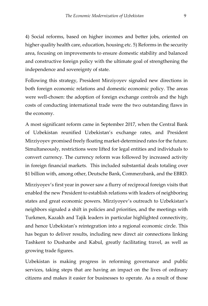4) Social reforms, based on higher incomes and better jobs, oriented on higher quality health care, education, housing etc. 5) Reforms in the security area, focusing on improvements to ensure domestic stability and balanced and constructive foreign policy with the ultimate goal of strengthening the independence and sovereignty of state.

Following this strategy, President Mirziyoyev signaled new directions in both foreign economic relations and domestic economic policy. The areas were well-chosen: the adoption of foreign exchange controls and the high costs of conducting international trade were the two outstanding flaws in the economy.

A most significant reform came in September 2017, when the Central Bank of Uzbekistan reunified Uzbekistan's exchange rates, and President Mirziyoyev promised freely floating market-determined rates for the future. Simultaneously, restrictions were lifted for legal entities and individuals to convert currency. The currency reform was followed by increased activity in foreign financial markets. This included substantial deals totaling over \$1 billion with, among other, Deutsche Bank, Commerzbank, and the EBRD.

Mirziyoyev's first year in power saw a flurry of reciprocal foreign visits that enabled the new President to establish relations with leaders of neighboring states and great economic powers. Mirziyoyev's outreach to Uzbekistan's neighbors signaled a shift in policies and priorities, and the meetings with Turkmen, Kazakh and Tajik leaders in particular highlighted connectivity, and hence Uzbekistan's reintegration into a regional economic circle. This has begun to deliver results, including new direct air connections linking Tashkent to Dushanbe and Kabul, greatly facilitating travel, as well as growing trade figures.

Uzbekistan is making progress in reforming governance and public services, taking steps that are having an impact on the lives of ordinary citizens and makes it easier for businesses to operate. As a result of those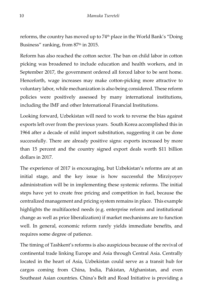reforms, the country has moved up to 74<sup>th</sup> place in the World Bank's "Doing Business" ranking, from 87<sup>th</sup> in 2015.

Reform has also reached the cotton sector. The ban on child labor in cotton picking was broadened to include education and health workers, and in September 2017, the government ordered all forced labor to be sent home. Henceforth, wage increases may make cotton-picking more attractive to voluntary labor, while mechanization is also being considered. These reform policies were positively assessed by many international institutions, including the IMF and other International Financial Institutions.

Looking forward, Uzbekistan will need to work to reverse the bias against exports left over from the previous years. South Korea accomplished this in 1964 after a decade of mild import substitution, suggesting it can be done successfully. There are already positive signs: exports increased by more than 15 percent and the country signed export deals worth \$11 billion dollars in 2017.

The experience of 2017 is encouraging, but Uzbekistan's reforms are at an initial stage, and the key issue is how successful the Mirziyoyev administration will be in implementing these systemic reforms. The initial steps have yet to create free pricing and competition in fuel, because the centralized management and pricing system remains in place. This example highlights the multifaceted needs (e.g. enterprise reform and institutional change as well as price liberalization) if market mechanisms are to function well. In general, economic reform rarely yields immediate benefits, and requires some degree of patience.

The timing of Tashkent's reforms is also auspicious because of the revival of continental trade linking Europe and Asia through Central Asia. Centrally located in the heart of Asia, Uzbekistan could serve as a transit hub for cargos coming from China, India, Pakistan, Afghanistan, and even Southeast Asian countries. China's Belt and Road Initiative is providing a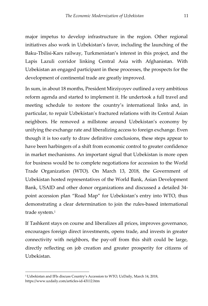major impetus to develop infrastructure in the region. Other regional initiatives also work in Uzbekistan's favor, including the launching of the Baku-Tbilisi-Kars railway, Turkmenistan's interest in this project, and the Lapis Lazuli corridor linking Central Asia with Afghanistan. With Uzbekistan an engaged participant in these processes, the prospects for the development of continental trade are greatly improved.

In sum, in about 18 months, President Mirziyoyev outlined a very ambitious reform agenda and started to implement it. He undertook a full travel and meeting schedule to restore the country's international links and, in particular, to repair Uzbekistan's fractured relations with its Central Asian neighbors. He removed a millstone around Uzbekistan's economy by unifying the exchange rate and liberalizing access to foreign exchange. Even though it is too early to draw definitive conclusions, these steps appear to have been harbingers of a shift from economic control to greater confidence in market mechanisms. An important signal that Uzbekistan is more open for business would be to complete negotiations for accession to the World Trade Organization (WTO). On March 13, 2018, the Government of Uzbekistan hosted representatives of the World Bank, Asian Development Bank, USAID and other donor organizations and discussed a detailed 34 point accession plan "Road Map" for Uzbekistan's entry into WTO, thus demonstrating a clear determination to join the rules-based international trade system.<sup>1</sup>

If Tashkent stays on course and liberalizes all prices, improves governance, encourages foreign direct investments, opens trade, and invests in greater connectivity with neighbors, the pay-off from this shift could be large, directly reflecting on job creation and greater prosperity for citizens of Uzbekistan.

<sup>1</sup> Uzbekistan and IFIs discuss Country's Accession to WTO, UzDaily, March 14, 2018, https://www.uzdaily.com/articles-id-43112.htm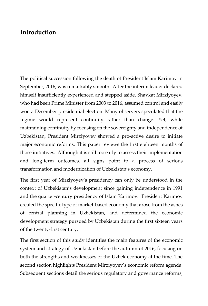## <span id="page-13-0"></span>**Introduction**

The political succession following the death of President Islam Karimov in September, 2016, was remarkably smooth. After the interim leader declared himself insufficiently experienced and stepped aside, Shavkat Mirziyoyev, who had been Prime Minister from 2003 to 2016, assumed control and easily won a December presidential election. Many observers speculated that the regime would represent continuity rather than change. Yet, while maintaining continuity by focusing on the sovereignty and independence of Uzbekistan, President Mirziyoyev showed a pro-active desire to initiate major economic reforms. This paper reviews the first eighteen months of those initiatives. Although it is still too early to assess their implementation and long-term outcomes, all signs point to a process of serious transformation and modernization of Uzbekistan's economy.

The first year of Mirziyoyev's presidency can only be understood in the context of Uzbekistan's development since gaining independence in 1991 and the quarter-century presidency of Islam Karimov. President Karimov created the specific type of market-based economy that arose from the ashes of central planning in Uzbekistan, and determined the economic development strategy pursued by Uzbekistan during the first sixteen years of the twenty-first century.

The first section of this study identifies the main features of the economic system and strategy of Uzbekistan before the autumn of 2016, focusing on both the strengths and weaknesses of the Uzbek economy at the time. The second section highlights President Mirziyoyev's economic reform agenda. Subsequent sections detail the serious regulatory and governance reforms,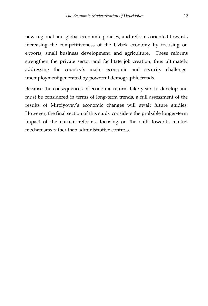new regional and global economic policies, and reforms oriented towards increasing the competitiveness of the Uzbek economy by focusing on exports, small business development, and agriculture. These reforms strengthen the private sector and facilitate job creation, thus ultimately addressing the country's major economic and security challenge: unemployment generated by powerful demographic trends.

Because the consequences of economic reform take years to develop and must be considered in terms of long-term trends, a full assessment of the results of Mirziyoyev's economic changes will await future studies. However, the final section of this study considers the probable longer-term impact of the current reforms, focusing on the shift towards market mechanisms rather than administrative controls.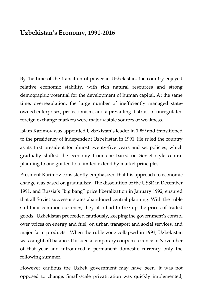## <span id="page-15-0"></span>**Uzbekistan's Economy, 1991-2016**

By the time of the transition of power in Uzbekistan, the country enjoyed relative economic stability, with rich natural resources and strong demographic potential for the development of human capital. At the same time, overregulation, the large number of inefficiently managed stateowned enterprises, protectionism, and a prevailing distrust of unregulated foreign exchange markets were major visible sources of weakness.

Islam Karimov was appointed Uzbekistan's leader in 1989 and transitioned to the presidency of independent Uzbekistan in 1991. He ruled the country as its first president for almost twenty-five years and set policies, which gradually shifted the economy from one based on Soviet style central planning to one guided to a limited extend by market principles.

President Karimov consistently emphasized that his approach to economic change was based on gradualism. The dissolution of the USSR in December 1991, and Russia's "big bang" price liberalization in January 1992, ensured that all Soviet successor states abandoned central planning. With the ruble still their common currency, they also had to free up the prices of traded goods. Uzbekistan proceeded cautiously, keeping the government's control over prices on energy and fuel, on urban transport and social services, and major farm products. When the ruble zone collapsed in 1993, Uzbekistan was caught off balance. It issued a temporary coupon currency in November of that year and introduced a permanent domestic currency only the following summer.

However cautious the Uzbek government may have been, it was not opposed to change. Small-scale privatization was quickly implemented,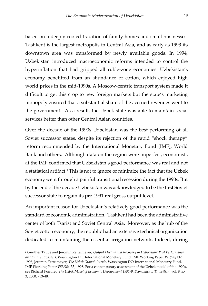based on a deeply rooted tradition of family homes and small businesses. Tashkent is the largest metropolis in Central Asia, and as early as 1993 its downtown area was transformed by newly available goods. In 1994, Uzbekistan introduced macroeconomic reforms intended to control the hyperinflation that had gripped all ruble-zone economies. Uzbekistan's economy benefitted from an abundance of cotton, which enjoyed high world prices in the mid-1990s. A Moscow-centric transport system made it difficult to get this crop to new foreign markets but the state's marketing monopoly ensured that a substantial share of the accrued revenues went to the government. As a result, the Uzbek state was able to maintain social services better than other Central Asian countries.

Over the decade of the 1990s Uzbekistan was the best-performing of all Soviet successor states, despite its rejection of the rapid "shock therapy" reform recommended by the International Monetary Fund (IMF), World Bank and others. Although data on the region were imperfect, economists at the IMF confirmed that Uzbekistan's good performance was real and not a statistical artifact. <sup>2</sup> This is not to ignore or minimize the fact that the Uzbek economy went through a painful transitional recession during the 1990s. But by the end of the decade Uzbekistan was acknowledged to be the first Soviet successor state to regain its pre-1991 real gross output level.

An important reason for Uzbekistan's relatively good performance was the standard of economic administration. Tashkent had been the administrative center of both Tsarist and Soviet Central Asia. Moreover, as the hub of the Soviet cotton economy, the republic had an extensive technical organization dedicated to maintaining the essential irrigation network. Indeed, during

<sup>2</sup> Günther Taube and Jeromin Zettelmeyer, *Output Decline and Recovery in Uzbekistan: Past Performance and Future Prospects*, Washington DC: International Monetary Fund, IMF Working Paper WP/98/132, 1998; Jeromin Zettelmeyer, *The Uzbek Growth Puzzle,* Washington DC: International Monetary Fund, IMF Working Paper WP/98/133, 1998. For a contemporary assessment of the Uzbek model of the 1990s, seeRichard Pomfret, *The Uzbek Model of Economic Development 1991-9*, *Economics of Transition*, vol. 8 no. 3, 2000, 733-48.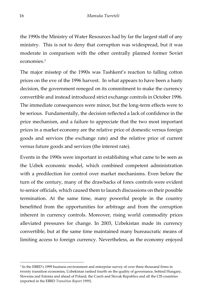the 1990s the Ministry of Water Resources had by far the largest staff of any ministry. This is not to deny that corruption was widespread, but it was moderate in comparison with the other centrally planned former Soviet economies. 3

The major misstep of the 1990s was Tashkent's reaction to falling cotton prices on the eve of the 1996 harvest. In what appears to have been a hasty decision, the government reneged on its commitment to make the currency convertible and instead introduced strict exchange controls in October 1996. The immediate consequences were minor, but the long-term effects were to be serious. Fundamentally, the decision reflected a lack of confidence in the price mechanism, and a failure to appreciate that the two most important prices in a market economy are the relative price of domestic versus foreign goods and services (the exchange rate) and the relative price of current versus future goods and services (the interest rate).

Events in the 1990s were important in establishing what came to be seen as the Uzbek economic model, which combined competent administration with a predilection for control over market mechanisms. Even before the turn of the century, many of the drawbacks of forex controls were evident to senior officials, which caused them to launch discussions on their possible termination. At the same time, many powerful people in the country benefitted from the opportunities for arbitrage and from the corruption inherent in currency controls. Moreover, rising world commodity prices alleviated pressures for change. In 2003, Uzbekistan made its currency convertible, but at the same time maintained many bureaucratic means of limiting access to foreign currency. Nevertheless, as the economy enjoyed

<sup>3</sup> In the EBRD's 1999 business environment and enterprise survey of over three thousand firms in twenty transition economies, Uzbekistan ranked fourth on the quality of governance, behind Hungary, Slovenia and Estonia and ahead of Poland, the Czech and Slovak Republics and all the CIS countries (reported in the EBRD *Transition Report 1999*).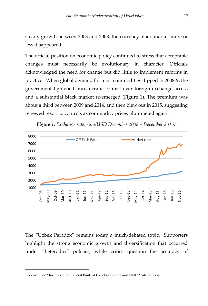steady growth between 2003 and 2008, the currency black-market more or less disappeared.

The official position on economic policy continued to stress that acceptable changes must necessarily be evolutionary in character. Officials acknowledged the need for change but did little to implement reforms in practice. When global demand for most commodities dipped in 2008-9, the government tightened bureaucratic control over foreign exchange access and a substantial black market re-emerged (Figure 1). The premium was about a third between 2009 and 2014, and then blew out in 2015, suggesting renewed resort to controls as commodity prices plummeted again.



*Figure 1: Exchange rate, sum/USD December 2008 – December 2016*. 4

The "Uzbek Paradox" remains today a much-debated topic. Supporters highlight the strong economic growth and diversification that occurred under "heterodox" policies, while critics question the accuracy of

<sup>4</sup> Source: Ben Slay, based on Central Bank of Uzbekistan data and UNDP calculations.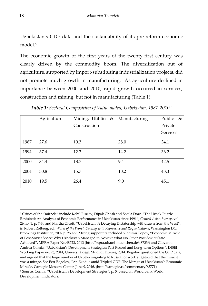Uzbekistan's GDP data and the sustainability of its pre-reform economic model.<sup>5</sup>

The economic growth of the first years of the twenty-first century was clearly driven by the commodity boom. The diversification out of agriculture, supported by import-substituting industrialization projects, did not promote much growth in manufacturing. As agriculture declined in importance between 2000 and 2010, rapid growth occurred in services, construction and mining, but not in manufacturing (Table 1).

|      | Agriculture | Mining, Utilities & | Manufacturing | Public & |
|------|-------------|---------------------|---------------|----------|
|      |             | Construction        |               | Private  |
|      |             |                     |               | Services |
| 1987 | 27.6        | 10.3                | 28.0          | 34.1     |
| 1994 | 37.4        | 12.2                | 14.2          | 36.2     |
| 2000 | 34.4        | 13.7                | 9.4           | 42.5     |
| 2004 | 30.8        | 15.7                | 10.2          | 43.3     |
| 2010 | 19.5        | 26.4                | 9.0           | 45.1     |

*Table 1: Sectoral Composition of Value-added, Uzbekistan, 1987-2010.* 6

<sup>-</sup><sup>5</sup> Critics of the "miracle" include Kobil Ruziev, Dipak Ghosh and Sheila Dow, "The Uzbek Puzzle Revisited: An Analysis of Economic Performance in Uzbekistan since 1991", *Central Asian Survey*, vol. 26 no. 1, p. 7-30 and Martha Olcott, "Uzbekistan: A Decaying Dictatorship withdrawn from the West", in Robert Rotberg, ed., *Worst of the Worst: Dealing with Repressive and Rogue Nations*, Washington DC: Brookings Institution, 2007 p. 250-68. Strong supporters included Vladimir Popov, "Economic Miracle of Post-Soviet Space: Why Uzbekistan Managed to Achieve what No Other Post-Soviet State Achieved", MPRA Paper No.48723, 2013 (http://mpra.ub.uni-muenchen.de/48723/) and Giovanni Andrea Cornia, "Uzbekistan's Development Strategies: Past Record and Long-term Options", DISEI Working Paper no. 26, 2014, Università degli Studi di Firenze, 2014. Bogolov questioned the GDP data, and argued that the large number of Uzbeks migrating to Russia for work suggested that the miracle was a mirage. See Petr Bogolov, "An Exodus amid Tripled GDP: The Mirage of Uzbekistan's Economic Miracle*,* Carnegie Moscow Center, June 9, 2016. (http://carnegie.ru/commentary/63771) <sup>6</sup> Source: Cornia, "Uzbekistan's Development Strategies", p. 5, based on World Bank World Development Indicators.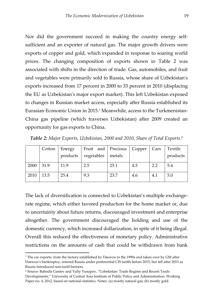Nor did the government succeed in making the country energy selfsufficient and an exporter of natural gas. The major growth drivers were exports of copper and gold, which expanded in response to soaring world prices. The changing composition of exports shown in Table 2 was associated with shifts in the direction of trade. Gas, automobiles, and fruit and vegetables were primarily sold to Russia, whose share of Uzbekistan's exports increased from 17 percent in 2000 to 33 percent in 2010 (displacing the EU as Uzbekistan's major export market). This left Uzbekistan exposed to changes in Russian market access, especially after Russia established its Eurasian Economic Union in 2015.<sup>7</sup> Meanwhile, access to the Turkmenistan-China gas pipeline (which traverses Uzbekistan) after 2009 created an opportunity for gas exports to China.

|      | Cotton       | Energy<br>products | Fruit and   Precious   Copper<br>vegetables | metals |     | Cars | Textile<br>products |
|------|--------------|--------------------|---------------------------------------------|--------|-----|------|---------------------|
| 2000 | $\vert$ 31.9 | 11.9               | 2.5                                         | 25.1   | 4.5 | 2.2  | 5.4                 |
| 2010 | 13.5         | 25.4               | 9.3                                         | 23.7   | 4.6 | 4.1  | 5.0                 |

*Table 2: Major Exports, Uzbekistan, 2000 and 2010, Share of Total Exports*. 8

The lack of diversification is connected to Uzbekistan's multiple exchangerate regime, which either favored production for the home market or, due to uncertainty about future returns, discouraged investment and enterprise altogether. The government discouraged the holding and use of the domestic currency, which increased dollarization, in spite of it being illegal. Overall this reduced the effectiveness of monetary policy. Administrative restrictions on the amounts of cash that could be withdrawn from bank

<sup>7</sup> The car exports, from the factory established by Daewoo in the 1990s and taken over by GM after Daewoo's bankruptcy, entered Russia under preferential CIS tariffs before 2015, but fell after 2015 as Russia introduced non-tariff barriers.

<sup>8</sup> Source: Bahodir Ganiev and Yuliy Yusupov, "Uzbekistan: Trade Regime and Recent Trade Developments," University of Central Asia Institute of Public Policy and Administration, Working Paper no. 4, 2012, based on national statistics. Notes: (a) mostly natural gas; (b) mostly gold.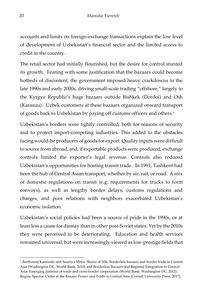accounts and limits on foreign-exchange transactions explain the low level of development of Uzbekistan's financial sector and the limited access to credit in the country.

The retail sector had initially flourished, but the desire for control stunted its growth. Fearing with some justification that the bazaars could become hotbeds of discontent, the government imposed heavy crackdowns in the late 1990s and early 2000s, driving small-scale trading "offshore," largely to the Kyrgyz Republic's huge bazaars outside Bishkek (Dordoi) and Osh (Karasuu). Uzbek customers at these bazaars organized onward transport of goods back to Uzbekistan by paying off customs officers and others.<sup>9</sup>

Uzbekistan's borders were tightly controlled, both for reasons of security and to protect import-competing industries. This added to the obstacles facing would-be producers of goods for export. Quality inputs were difficult to source from abroad, and, if exportable products were produced, exchange controls limited the exporter's legal revenue. Controls also reduced Uzbekistan's opportunities for hosting transit trade. In 1991, Tashkent had been the hub of Central Asian transport, whether by air, rail, or road. A mix of domestic regulations on transit (e.g. requirements for trucks to form convoys), as well as lengthy border delays, customs regulations and charges, and poor relations with neighbors exacerbated Uzbekistan's economic isolation.

Uzbekistan's social policies had been a source of pride in the 1990s, or at least less a cause for dismay than in other post-Soviet states. Yet by the 2010s they were perceived to be deteriorating. Education and health services remained universal, but were increasingly viewed as low-prestige fields that

<sup>9</sup>Bartlomiej Kaminski and Saumya Mitra: Skeins of Silk: Borderless bazaars and border trade in Central Asia (Washington DC, World Bank, 2010) and Borderless Bazaars and Regional Integration in Central Asia: Emerging patterns of trade and cross-border cooperation (World Bank: Washington DC, 2012). Regine Spector: Order at the Bazaar: Power and Trade in Central Asia (Cornell University Press, 2017).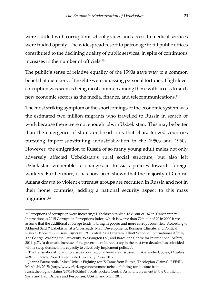were riddled with corruption: school grades and access to medical services were traded openly. The widespread resort to patronage to fill public offices contributed to the declining quality of public services, in spite of continuous increases in the number of officials.<sup>10</sup>

The public's sense of relative equality of the 1990s gave way to a common belief that members of the elite were amassing personal fortunes. High-level corruption was seen as being most common among those with access to such new economic sectors as the media, finance, and telecommunications.<sup>11</sup>

The most striking symptom of the shortcomings of the economic system was the estimated two million migrants who travelled to Russia in search of work because there were not enough jobs in Uzbekistan. This may be better than the emergence of slums or bread riots that characterized countries pursuing import-substituting industrialization in the 1950s and 1960s. However, the emigration to Russia of so many young adult males not only adversely affected Uzbekistan's rural social structure, but also left Uzbekistan vulnerable to changes in Russia's policies towards foreign workers. Furthermore, it has now been shown that the majority of Central Asians drawn to violent extremist groups are recruited in Russia and not in their home countries, adding a national security aspect to this mass migration.<sup>12</sup>

j <sup>10</sup> Perceptions of corruption were increasing; Uzbekistan ranked 153<sup>rd</sup> out of 167 in Transparency International's 2015 Corruption Perceptions Index, which is worse than 79th out of 90 in 2000 if we assume that the additional coverage tends to bring in poorer and more corrupt countries. According to Akhmed Said ("Uzbekistan at a Crossroads: Main Developments, Business Climate, and Political Risks," *Uzbekistan Initiative Papers no. 10*, Central Asia Program, Elliott School of International Affairs, The George Washington University, Washington DC, and Barcelona Centre for International Affairs, 2014, p.7), "a dramatic increase of the government bureaucracy in the past two decades has coincided with a steep decline in its capacity to effectively implement policies".

<sup>11</sup> The transnational corruption issues on a regional level are discussed in Alexander Cooley, *Dictators without Borders*, New Haven: Yale University Press: 2017.

<sup>12</sup> Joanna Paraszczuk, "Most Uzbeks Fighting for IS Came from Russia, Theologian Claims", RFE/RL, March 24, 2015; (http://www.rferl.org/content/most-uzbeks-fighting-for-is-came-from-

russiatheologian-claims/26918165.html) Noah Tucker, Central Asian Involvement in the Conflict in Syria and Iraq: Drivers and Responses, USAID and MDI, 2015.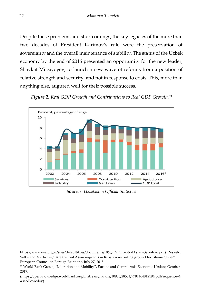Despite these problems and shortcomings, the key legacies of the more than two decades of President Karimov's rule were the preservation of sovereignty and the overall maintenance of stability. The status of the Uzbek economy by the end of 2016 presented an opportunity for the new leader, Shavkat Mirziyoyev, to launch a new wave of reforms from a position of relative strength and security, and not in response to crisis. This, more than anything else, augured well for their possible success.





*Sources: Uzbekistan Official Statistics*

https://www.usaid.gov/sites/default/files/documents/1866/CVE\_CentralAsiansSyriaIraq.pdf); Ryskeldi Satke and Marta Ter," Are Central Asian migrants in Russia a recruiting ground for Islamic State?" European Council on Foreign Relations, July 27, 2015.

<sup>13</sup> World Bank Group, "Migration and Mobility", Europe and Central Asia Economic Update, October 2017.

<sup>(</sup>https://openknowledge.worldbank.org/bitstream/handle/10986/28534/9781464812194.pdf?sequence=4 &isAllowed=y)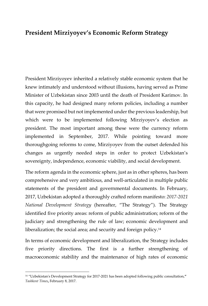## <span id="page-24-0"></span>**President Mirziyoyev's Economic Reform Strategy**

President Mirziyoyev inherited a relatively stable economic system that he knew intimately and understood without illusions, having served as Prime Minister of Uzbekistan since 2003 until the death of President Karimov. In this capacity, he had designed many reform policies, including a number that were promised but not implemented under the previous leadership, but which were to be implemented following Mirziyoyev's election as president. The most important among these were the currency reform implemented in September, 2017. While pointing toward more thoroughgoing reforms to come, Mirziyoyev from the outset defended his changes as urgently needed steps in order to protect Uzbekistan's sovereignty, independence, economic viability, and social development.

The reform agenda in the economic sphere, just as in other spheres, has been comprehensive and very ambitious, and well-articulated in multiple public statements of the president and governmental documents. In February, 2017, Uzbekistan adopted a thoroughly crafted reform manifesto: *2017-2021 National Development Strategy* (hereafter, "The Strategy"). The Strategy identified five priority areas: reform of public administration; reform of the judiciary and strengthening the rule of law; economic development and liberalization; the social area; and security and foreign policy.<sup>14</sup>

In terms of economic development and liberalization, the Strategy includes five priority directions. The first is a further strengthening of macroeconomic stability and the maintenance of high rates of economic

<sup>14</sup> "Uzbekistan's Development Strategy for 2017-2021 has been adopted following public consultation,**"**  *Tashkent Times***,** February 8, 2017.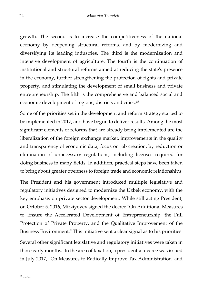growth. The second is to increase the competitiveness of the national economy by deepening structural reforms, and by modernizing and diversifying its leading industries. The third is the modernization and intensive development of agriculture. The fourth is the continuation of institutional and structural reforms aimed at reducing the state's presence in the economy, further strengthening the protection of rights and private property, and stimulating the development of small business and private entrepreneurship. The fifth is the comprehensive and balanced social and economic development of regions, districts and cities.<sup>15</sup>

Some of the priorities set in the development and reform strategy started to be implemented in 2017, and have begun to deliver results. Among the most significant elements of reforms that are already being implemented are the liberalization of the foreign exchange market, improvements in the quality and transparency of economic data, focus on job creation, by reduction or elimination of unnecessary regulations, including licenses required for doing business in many fields. In addition, practical steps have been taken to bring about greater openness to foreign trade and economic relationships.

The President and his government introduced multiple legislative and regulatory initiatives designed to modernize the Uzbek economy, with the key emphasis on private sector development. While still acting President, on October 5, 2016, Mirziyoyev signed the decree "On Additional Measures to Ensure the Accelerated Development of Entrepreneurship, the Full Protection of Private Property, and the Qualitative Improvement of the Business Environment." This initiative sent a clear signal as to his priorities.

Several other significant legislative and regulatory initiatives were taken in those early months. In the area of taxation, a presidential decree was issued in July 2017, "On Measures to Radically Improve Tax Administration, and

<sup>15</sup> Ibid.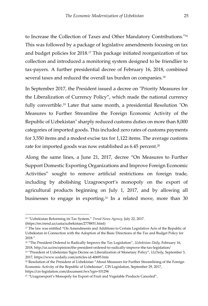to Increase the Collection of Taxes and Other Mandatory Contributions."<sup>16</sup> This was followed by a package of legislative amendments focusing on tax and budget policies for 2018.<sup>17</sup> This package initiated reorganization of tax collection and introduced a monitoring system designed to be friendlier to tax-payers. A further presidential decree of February 16, 2018, combined several taxes and reduced the overall tax burden on companies.<sup>18</sup>

In September 2017, the President issued a decree on "Priority Measures for the Liberalization of Currency Policy", which made the national currency fully convertible.<sup>19</sup> Later that same month, a presidential Resolution "On Measures to Further Streamline the Foreign Economic Activity of the Republic of Uzbekistan" sharply reduced customs duties on more than 8,000 categories of imported goods. This included zero rates of customs payments for 3,550 items and a modest excise tax for 1,122 items. The average customs rate for imported goods was now established as 6.45 percent. 20

Along the same lines, a June 21, 2017, decree "On Measures to Further Support Domestic Exporting Organizations and Improve Foreign Economic Activities" sought to remove artificial restrictions on foreign trade, including by abolishing Uzagroexport's monopoly on the export of agricultural products beginning on July 1, 2017, and by allowing all businesses to engage in exporting.<sup>21</sup> In a related move, more than 30

<sup>16</sup> "Uzbekistan Reforming its Tax System," *Trend News Agency*, July 22, 2017.

<sup>(</sup>https://en.trend.az/casia/uzbekistan/2778851.html)

<sup>&</sup>lt;sup>17</sup> The law was entitled "On Amendments and Additions to Certain Legislative Acts of the Republic of Uzbekistan in Connection with the Adoption of the Basic Directions of the Tax and Budget Policy for 2018."

<sup>18</sup> "The President Ordered to Radically Improve the Tax Legislation", *Uzbekistan Daily*, February 16, 2018, http://ut.uz/en/opinion/the-president-ordered-to-radically-improve-the-tax-legislation/

<sup>19</sup> "President of Uzbekistan Signs Decree on Liberalization of Monetary Policy", *UzDaily*, September 3, 2017, https://www.uzdaily.com/articles-id-40695.htm

<sup>20</sup> Resolution of the President of Uzbekistan "About Measures for Further Streamlining of the Foreign Economic Activity of the Republic of Uzbekistan", CIS Legislation, September 29, 2017, https://cis-legislation.com/document.fwx?rgn=101296

<sup>&</sup>lt;sup>21</sup> "Uzagroexport's Monopoly for Export of Fruit and Vegetable Products Canceled",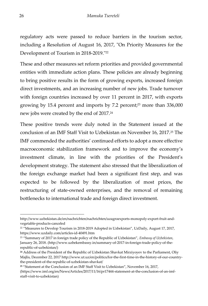regulatory acts were passed to reduce barriers in the tourism sector, including a Resolution of August 16, 2017, "On Priority Measures for the Development of Tourism in 2018-2019."<sup>22</sup>

These and other measures set reform priorities and provided governmental entities with immediate action plans. These policies are already beginning to bring positive results in the form of growing exports, increased foreign direct investments, and an increasing number of new jobs. Trade turnover with foreign countries increased by over 11 percent in 2017, with exports growing by 15.4 percent and imports by 7.2 percent; <sup>23</sup> more than 336,000 new jobs were created by the end of 2017.<sup>24</sup>

These positive trends were duly noted in the Statement issued at the conclusion of an IMF Staff Visit to Uzbekistan on November 16, 2017.<sup>25</sup> The IMF commended the authorities' continued efforts to adopt a more effective macroeconomic stabilization framework and to improve the economy's investment climate, in line with the priorities of the President's development strategy. The statement also stressed that the liberalization of the foreign exchange market had been a significant first step, and was expected to be followed by the liberalization of most prices, the restructuring of state-owned enterprises, and the removal of remaining bottlenecks to international trade and foreign direct investment.

**<sup>25</sup>** "Statement at the Conclusion of an IMF Staff Visit to Uzbekistan", November 16, 2017, [\(https://www.imf.org/en/News/Articles/2017/11/16/pr17444-statement-at-the-conclusion-of-an-imf-](https://www.imf.org/en/News/Articles/2017/11/16/pr17444-statement-at-the-conclusion-of-an-imf-staff-visit-to-uzbekistan)

-

[staff-visit-to-uzbekistan\)](https://www.imf.org/en/News/Articles/2017/11/16/pr17444-statement-at-the-conclusion-of-an-imf-staff-visit-to-uzbekistan)

http://www.uzbekistan.de/en/nachrichten/nachrichten/uzagroexports-monopoly-export-fruit-andvegetable-products-canceled

<sup>22</sup> "Measures to Develop Tourism in 2018-2019 Adopted in Uzbekistan", UzDaily, August 17, 2017, https://www.uzdaily.com/articles-id-40491.htm

<sup>23</sup> "Summary of 2017 in foreign trade policy of the Republic of Uzbekistan", *Embassy of Uzbekistan*, January 26, 2018. (http://www.uzbekembassy.in/summary-of-2017-in-foreign-trade-policy-of-therepublic-of-uzbekistan/)

**<sup>24</sup>** Address of the President of the Republic of Uzbekistan Shavkat Mirziyoyev to the Parliament, Oliy Majlis, December 22, 2017 http://www.ut.uz/en/politics/for-the-first-time-in-the-history-of-our-countrythe-president-of-the-republic-of-uzbekistan-shavkat/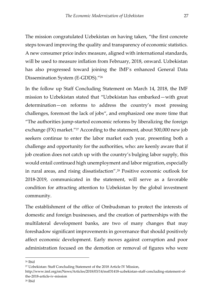The mission congratulated Uzbekistan on having taken, "the first concrete steps toward improving the quality and transparency of economic statistics. A new consumer price index measure, aligned with international standards, will be used to measure inflation from February, 2018, onward. Uzbekistan has also progressed toward joining the IMF's enhanced General Data Dissemination System (E-GDDS)."<sup>26</sup>

In the follow up Staff Concluding Statement on March 14, 2018, the IMF mission to Uzbekistan stated that "Uzbekistan has embarked—with great determination—on reforms to address the country's most pressing challenges, foremost the lack of jobs", and emphasized one more time that "The authorities jump-started economic reforms by liberalizing the foreign exchange (FX) market."<sup>27</sup> According to the statement, about 500,000 new job seekers continue to enter the labor market each year, presenting both a challenge and opportunity for the authorities, who: are keenly aware that if job creation does not catch up with the country's bulging labor supply, this would entail continued high unemployment and labor migration, especially in rural areas, and rising dissatisfaction".<sup>28</sup> Positive economic outlook for 2018-2019, communicated in the statement, will serve as a favorable condition for attracting attention to Uzbekistan by the global investment community.

The establishment of the office of Ombudsman to protect the interests of domestic and foreign businesses, and the creation of partnerships with the multilateral development banks, are two of many changes that may foreshadow significant improvements in governance that should positively affect economic development. Early moves against corruption and poor administration focused on the demotion or removal of figures who were

<sup>26</sup> Ibid

<sup>27</sup> Uzbekistan: Staff Concluding Statement of the 2018 Article IV Mission,

http://www.imf.org/en/News/Articles/2018/03/14/ms031418-uzbekistan-staff-concluding-statement-ofthe-2018-article-iv-mission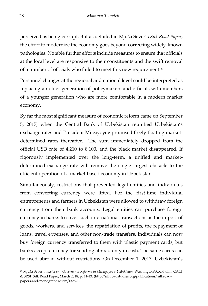perceived as being corrupt. But as detailed in Mjuša Sever's *Silk Road Paper*, the effort to modernize the economy goes beyond correcting widely-known pathologies. Notable further efforts include measures to ensure that officials at the local level are responsive to their constituents and the swift removal of a number of officials who failed to meet this new requirement.<sup>29</sup>

Personnel changes at the regional and national level could be interpreted as replacing an older generation of policymakers and officials with members of a younger generation who are more comfortable in a modern market economy.

By far the most significant measure of economic reform came on September 5, 2017, when the Central Bank of Uzbekistan reunified Uzbekistan's exchange rates and President Mirziyoyev promised freely floating marketdetermined rates thereafter. The sum immediately dropped from the official USD rate of 4,210 to 8,100, and the black market disappeared. If rigorously implemented over the long-term, a unified and marketdetermined exchange rate will remove the single largest obstacle to the efficient operation of a market-based economy in Uzbekistan.

Simultaneously, restrictions that prevented legal entities and individuals from converting currency were lifted. For the first-time individual entrepreneurs and farmers in Uzbekistan were allowed to withdraw foreign currency from their bank accounts. Legal entities can purchase foreign currency in banks to cover such international transactions as the import of goods, workers, and services, the repatriation of profits, the repayment of loans, travel expenses, and other non-trade transfers. Individuals can now buy foreign currency transferred to them with plastic payment cards, but banks accept currency for sending abroad only in cash. The same cards can be used abroad without restrictions. On December 1, 2017, Uzbekistan's

<sup>29</sup> Mjuša Sever, *Judicial and Governance Reforms in Mirziyoyev's Uzbekistan*, Washington/Stockholm: CACI & SRSP Silk Road Paper, March 2018, p. 41-43. (http://silkroadstudies.org/publications/ silkroadpapers-and-monographs/item/13282l)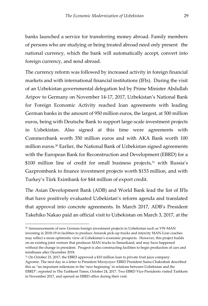banks launched a service for transferring money abroad. Family members of persons who are studying or being treated abroad need only present the national currency, which the bank will automatically accept, convert into foreign currency, and send abroad.

The currency reform was followed by increased activity in foreign financial markets and with international financial institutions (IFIs). During the visit of an Uzbekistan governmental delegation led by Prime Minister Abdullah Aripov to Germany on November 14-17, 2017, Uzbekistan's National Bank for Foreign Economic Activity reached loan agreements with leading German banks in the amount of 950 million euros, the largest, at 500 million euros, being with Deutsche Bank to support large-scale investment projects in Uzbekistan. Also signed at this time were agreements with Commerzbank worth 350 million euros and with AKA Bank worth 100 million euros.<sup>30</sup> Earlier, the National Bank of Uzbekistan signed agreements with the European Bank for Reconstruction and Development (EBRD) for a \$100 million line of credit for small business projects,<sup>31</sup> with Russia's Gazprombank to finance investment projects worth \$153 million, and with Turkey's Türk Eximbank for \$44 million of export credit.

The Asian Development Bank (ADB) and World Bank lead the list of IFIs that have positively evaluated Uzbekistan's reform agenda and translated that approval into concrete agreements. In March 2017, ADB's President Takehiko Nakao paid an official visit to Uzbekistan on March 3, 2017, at the

<sup>30</sup> Announcements of new German foreign investment projects in Uzbekistan such as VW-MAN investing in 2018-19 in facilities to produce Amarok pick-up trucks and intercity MAN-Lion coaches may reflect a more optimistic view of Uzbekistan's economic prospects. However, this project builds on an existing joint venture that produces MAN trucks in Samarkand, and may have happened without the change in president. Peugeot is also constructing facilities to begin production of cars and minibuses after December 2018.

<sup>&</sup>lt;sup>31</sup> On October 23, 2017, the EBRD approved a \$10 million loan to private fruit juice company Agromir. The next day in a letter to President Mirziyoyev EBRD President Suma Chakrabati described this as "an important milestone in the 'new beginning' in relations between Uzbekistan and the EBRD"; reported in The Tashkent Times, October 24, 2017. Two EBRD Vice-Presidents visited Tashkent in November 2017, and opened an EBRD office during their visit.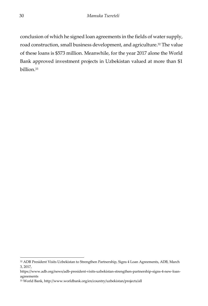conclusion of which he signed loan agreements in the fields of water supply, road construction, small business development, and agriculture.<sup>32</sup> The value of these loans is \$573 million. Meanwhile, for the year 2017 alone the World Bank approved investment projects in Uzbekistan valued at more than \$1 billion.<sup>33</sup>

<sup>-</sup><sup>32</sup> ADB President Visits Uzbekistan to Strengthen Partnership, Signs 4 Loan Agreements, ADB, March 3, 2017,

https://www.adb.org/news/adb-president-visits-uzbekistan-strengthen-partnership-signs-4-new-loanagreements

<sup>33</sup> World Bank, http://www.worldbank.org/en/country/uzbekistan/projects/all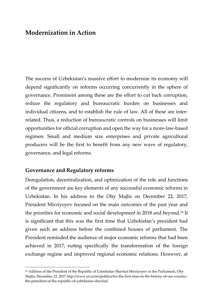## <span id="page-32-0"></span>**Modernization in Action**

The success of Uzbekistan's massive effort to modernize its economy will depend significantly on reforms occurring concurrently in the sphere of governance. Prominent among these are the effort to cut back corruption, reduce the regulatory and bureaucratic burden on businesses and individual citizens, and to establish the rule of law. All of these are interrelated. Thus, a reduction of bureaucratic controls on businesses will limit opportunities for official corruption and open the way for a more-law-based regimen. Small and medium size enterprises and private agricultural producers will be the first to benefit from any new wave of regulatory, governance, and legal reforms.

#### <span id="page-32-1"></span>**Governance and Regulatory reforms**

j

Deregulation, decentralization, and optimization of the role and functions of the government are key elements of any successful economic reforms in Uzbekistan. In his address to the Oliy Majlis on December 22, 2017, President Mirziyoyev focused on the main outcomes of the past year and the priorities for economic and social development in 2018 and beyond.<sup>34</sup> It is significant that this was the first time that Uzbekistan's president had given such an address before the combined houses of parliament. The President reminded the audience of major economic reforms that had been achieved in 2017, noting specifically the transformation of the foreign exchange regime and improved regional economic relations. However, at

<sup>&</sup>lt;sup>34</sup> Address of the President of the Republic of Uzbekistan Shavkat Mirziyoyev to the Parliament, Oliy Majlis, December 22, 2017 http://www.ut.uz/en/politics/for-the-first-time-in-the-history-of-our-countrythe-president-of-the-republic-of-uzbekistan-shavkat/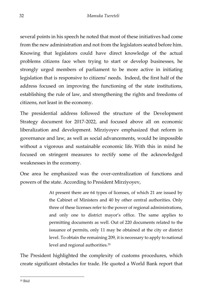several points in his speech he noted that most of these initiatives had come from the new administration and not from the legislators seated before him. Knowing that legislators could have direct knowledge of the actual problems citizens face when trying to start or develop businesses, he strongly urged members of parliament to be more active in initiating legislation that is responsive to citizens' needs. Indeed, the first half of the address focused on improving the functioning of the state institutions, establishing the rule of law, and strengthening the rights and freedoms of citizens, not least in the economy.

The presidential address followed the structure of the Development Strategy document for 2017-2022, and focused above all on economic liberalization and development. Mirziyoyev emphasized that reform in governance and law, as well as social advancements, would be impossible without a vigorous and sustainable economic life. With this in mind he focused on stringent measures to rectify some of the acknowledged weaknesses in the economy.

One area he emphasized was the over-centralization of functions and powers of the state. According to President Mirziyoyev,

> At present there are 64 types of licenses, of which 21 are issued by the Cabinet of Ministers and 40 by other central authorities. Only three of these licenses refer to the power of regional administrations, and only one to district mayor's office. The same applies to permitting documents as well. Out of 220 documents related to the issuance of permits, only 11 may be obtained at the city or district level. To obtain the remaining 209, it is necessary to apply to national level and regional authorities.<sup>35</sup>

The President highlighted the complexity of customs procedures, which create significant obstacles for trade. He quoted a World Bank report that

-<sup>35</sup> Ibid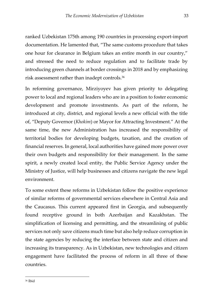ranked Uzbekistan 175th among 190 countries in processing export-import documentation. He lamented that, "The same customs procedure that takes one hour for clearance in Belgium takes an entire month in our country," and stressed the need to reduce regulation and to facilitate trade by introducing green channels at border crossings in 2018 and by emphasizing risk assessment rather than inadept controls.<sup>36</sup>

In reforming governance, Mirziyoyev has given priority to delegating power to local and regional leaders who are in a position to foster economic development and promote investments. As part of the reform, he introduced at city, district, and regional levels a new official with the title of, "Deputy Governor (*Khokim*) or Mayor for Attracting Investment." At the same time, the new Administration has increased the responsibility of territorial bodies for developing budgets, taxation, and the creation of financial reserves. In general, local authorities have gained more power over their own budgets and responsibility for their management. In the same spirit, a newly created local entity, the Public Service Agency under the Ministry of Justice, will help businesses and citizens navigate the new legal environment.

To some extent these reforms in Uzbekistan follow the positive experience of similar reforms of governmental services elsewhere in Central Asia and the Caucasus. This current appeared first in Georgia, and subsequently found receptive ground in both Azerbaijan and Kazakhstan. The simplification of licensing and permitting, and the streamlining of public services not only save citizens much time but also help reduce corruption in the state agencies by reducing the interface between state and citizen and increasing its transparency. As in Uzbekistan, new technologies and citizen engagement have facilitated the process of reform in all three of these countries.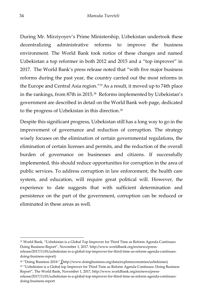During Mr. Mirziyoyev's Prime Ministership, Uzbekistan undertook these decentralizing administrative reforms to improve the business environment. The World Bank took notice of these changes and named Uzbekistan a top reformer in both 2012 and 2015 and a "top improver" in 2017. The World Bank's press release noted that "with five major business reforms during the past year, the country carried out the most reforms in the Europe and Central Asia region."37As a result, it moved up to 74th place in the rankings, from 87th in 2015.<sup>38</sup> Reforms implemented by Uzbekistan's government are described in detail on the World Bank web page, dedicated to the progress of Uzbekistan in this direction.<sup>39</sup>

Despite this significant progress, Uzbekistan still has a long way to go in the improvement of governance and reduction of corruption. The strategy wisely focuses on the elimination of certain governmental regulations, the elimination of certain licenses and permits, and the reduction of the overall burden of governance on businesses and citizens. If successfully implemented, this should reduce opportunities for corruption in the area of public services. To address corruption in law enforcement, the health care system, and education, will require great political will. However, the experience to date suggests that with sufficient determination and persistence on the part of the government, corruption can be reduced or eliminated in these areas as well.

<sup>39</sup> "Uzbekistan is a Global top Improver for Third Time as Reform Agenda Continues: Doing Business Report", The World Bank, November 1, 2017, http://www.worldbank.org/en/news/pressrelease/2017/11/01/uzbekistan-is-a-global-top-improver-for-third-time-as-reform-agenda-continuesdoing-business-report

<sup>37</sup> World Bank, "Uzbekistan is a Global Top Improver for Third Time as Reform Agenda Continues: Doing Business Report", November 1, 2017. http://www.worldbank.org/en/news/pressrelease/2017/11/01/uzbekistan-is-a-global-top-improver-for-third-time-as-reform-agenda-continuesdoing-business-report)

<sup>38</sup> "Doing Business 2018." (http://www.doingbusiness.org/data/exploreeconomies/uzbekistan)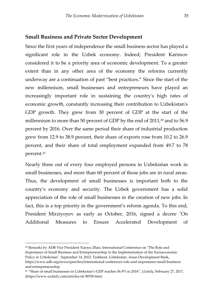#### <span id="page-36-0"></span>**Small Business and Private Sector Development**

Since the first years of independence the small business sector has played a significant role in the Uzbek economy. Indeed, President Karimov considered it to be a priority area of economic development. To a greater extent than in any other area of the economy the reforms currently underway are a continuation of past "best practices." Since the start of the new millennium, small businesses and entrepreneurs have played an increasingly important role in sustaining the country's high rates of economic growth, constantly increasing their contribution to Uzbekistan's GDP growth. They grew from 30 percent of GDP at the start of the millennium to more than 50 percent of GDP by the end of  $2011<sub>1</sub>$ <sup>40</sup> and to 56.9 percent by 2016. Over the same period their share of industrial production grew from 12.9 to 38.9 percent, their share of exports rose from 10.2 to 26.9 percent, and their share of total employment expanded from 49.7 to 78 percent. 41

Nearly three out of every four employed persons in Uzbekistan work in small businesses, and more than 60 percent of those jobs are in rural areas. Thus, the development of small businesses is important both to the country's economy and security. The Uzbek government has a solid appreciation of the role of small businesses in the creation of new jobs. In fact, this is a top priority in the government's reform agenda. To this end, President Mirziyoyev as early as October, 2016, signed a decree "On Additional Measures to Ensure Accelerated Development of

<sup>40</sup> Remarks by ADB Vice President Xiaoyu Zhao, International Conference on "The Role and Importance of Small Business and Entrepreneurship in the Implementation of the Socioeconomic Policy in Uzbekistan", September 14, 2012, Tashkent, Uzbekistan, Asian Development Bank, https://www.adb.org/news/speeches/international-conference-role-and-importance-small-businessand-entrepreneurship

<sup>41</sup> "Share of small businesses in Uzbekistan's GDP reaches 56.9% in 2016", *Uzdaily*, February 27, 2017, (https://www.uzdaily.com/articles-id-38558.htm)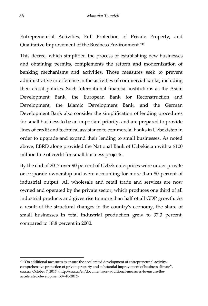Entrepreneurial Activities, Full Protection of Private Property, and Qualitative Improvement of the Business Environment."<sup>42</sup>

This decree, which simplified the process of establishing new businesses and obtaining permits, complements the reform and modernization of banking mechanisms and activities. Those measures seek to prevent administrative interference in the activities of commercial banks, including their credit policies. Such international financial institutions as the Asian Development Bank, the European Bank for Reconstruction and Development, the Islamic Development Bank, and the German Development Bank also consider the simplification of lending procedures for small business to be an important priority, and are prepared to provide lines of credit and technical assistance to commercial banks in Uzbekistan in order to upgrade and expand their lending to small businesses. As noted above, EBRD alone provided the National Bank of Uzbekistan with a \$100 million line of credit for small business projects.

By the end of 2017 over 90 percent of Uzbek enterprises were under private or corporate ownership and were accounting for more than 80 percent of industrial output. All wholesale and retail trade and services are now owned and operated by the private sector, which produces one third of all industrial products and gives rise to more than half of all GDP growth. As a result of the structural changes in the country's economy, the share of small businesses in total industrial production grew to 37.3 percent, compared to 18.8 percent in 2000.

 $42$  "On additional measures to ensure the accelerated development of entrepreneurial activity, comprehensive protection of private property and substantial improvement of business climate", uza.uz, October 7, 2016. (http://uza.uz/en/documents/on-additional-measures-to-ensure-theaccelerated-development-07-10-2016)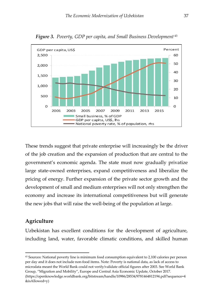

*Figure 3. Poverty, GDP per capita, and Small Business Development* <sup>43</sup>

These trends suggest that private enterprise will increasingly be the driver of the job creation and the expansion of production that are central to the government's economic agenda. The state must now gradually privatize large state-owned enterprises, expand competitiveness and liberalize the pricing of energy. Further expansion of the private sector growth and the development of small and medium enterprises will not only strengthen the economy and increase its international competitiveness but will generate the new jobs that will raise the well-being of the population at large.

#### <span id="page-38-0"></span>**Agriculture**

j

Uzbekistan has excellent conditions for the development of agriculture, including land, water, favorable climatic conditions, and skilled human

<sup>43</sup> Sources: National poverty line is minimum food consumption equivalent to 2,100 calories per person per day and it does not include non-food items. Note: Poverty is national data, as lack of access to microdata meant the World Bank could not verify/validate official figures after 2003. See World Bank Group, "Migration and Mobility", Europe and Central Asia Economic Update, October 2017. (https://openknowledge.worldbank.org/bitstream/handle/10986/28534/9781464812194.pdf?sequence=4 &isAllowed=y)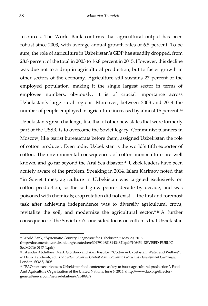resources. The World Bank confirms that agricultural output has been robust since 2003, with average annual growth rates of 6.5 percent. To be sure, the role of agriculture in Uzbekistan's GDP has steadily dropped, from 28.8 percent of the total in 2003 to 16.8 percent in 2015. However, this decline was due not to a drop in agricultural production, but to faster growth in other sectors of the economy. Agriculture still sustains 27 percent of the employed population, making it the single largest sector in terms of employee numbers; obviously, it is of crucial importance across Uzbekistan's large rural regions. Moreover, between 2003 and 2014 the number of people employed in agriculture increased by almost 15 percent.<sup>44</sup>

Uzbekistan's great challenge, like that of other new states that were formerly part of the USSR, is to overcome the Soviet legacy. Communist planners in Moscow, like tsarist bureaucrats before them, assigned Uzbekistan the role of cotton producer. Even today Uzbekistan is the world's fifth exporter of cotton. The environmental consequences of cotton monoculture are well known, and go far beyond the Aral Sea disaster.<sup>45</sup> Uzbek leaders have been acutely aware of the problem. Speaking in 2014, Islam Karimov noted that "in Soviet times, agriculture in Uzbekistan was targeted exclusively on cotton production, so the soil grew poorer decade by decade, and was poisoned with chemicals; crop rotation did not exist … the first and foremost task after achieving independence was to diversify agricultural crops, revitalize the soil, and modernize the agricultural sector."<sup>46</sup> A further consequence of the Soviet era's one-sided focus on cotton is that Uzbekistan

<sup>44</sup> World Bank, "Systematic Country Diagnostic for Uzbekistan," May 20, 2016.

<sup>(</sup>http://documents.worldbank.org/curated/en/304791468184434621/pdf/106454-REVISED-PUBLIC-SecM2016-0167-1.pdf)

<sup>45</sup> Iskandar Abdullaev, Mark Giordano and Aziz Rasulov, "Cotton in Uzbekistan: Water and Welfare", in Deniz Kandiyoti, ed., *The Cotton Sector in Central Asia: Economic Policy and Development Challenges*, London: SOAS, 2005

<sup>46</sup> "FAO top executive sees Uzbekistan food conference as key to boost agricultural production", Food And Agriculture Organization of the United Nations, June 6, 2014. (http://www.fao.org/directorgeneral/newsroom/news/detail/en/c/234098/)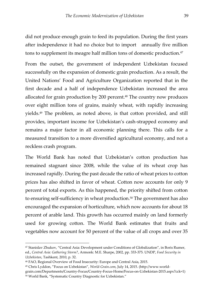did not produce enough grain to feed its population. During the first years after independence it had no choice but to import annually five million tons to supplement its meagre half million tons of domestic production.<sup>47</sup>

From the outset, the government of independent Uzbekistan focused successfully on the expansion of domestic grain production. As a result, the United Nations' Food and Agriculture Organization reported that in the first decade and a half of independence Uzbekistan increased the area allocated for grain production by 200 percent. <sup>48</sup> The country now produces over eight million tons of grains, mainly wheat, with rapidly increasing yields.<sup>49</sup> The problem, as noted above, is that cotton provided, and still provides, important income for Uzbekistan's cash-strapped economy and remains a major factor in all economic planning there. This calls for a measured transition to a more diversified agricultural economy, and not a reckless crash program.

The World Bank has noted that Uzbekistan's cotton production has remained stagnant since 2008, while the value of its wheat crop has increased rapidly. During the past decade the ratio of wheat prices to cotton prices has also shifted in favor of wheat. Cotton now accounts for only 9 percent of total exports. As this happened, the priority shifted from cotton to ensuring self-sufficiency in wheat production.<sup>50</sup> The government has also encouraged the expansion of horticulture, which now accounts for about 18 percent of arable land. This growth has occurred mainly on land formerly used for growing cotton. The World Bank estimates that fruits and vegetables now account for 50 percent of the value of all crops and over 35

<sup>47</sup> Stanislav Zhukov, "Central Asia: Development under Conditions of Globalization", in Boris Rumer, ed., *Central Asia: Gathering Storm?*, Armonk: M.E. Sharpe, 2002, pp. 333-375. UNDP, *Food Security in Uzbekistan*, Tashkent, 2010, p. 32.

<sup>48</sup> FAO, Regional Overview of Food Insecurity: Europe and Central Asia, 2015.

<sup>49</sup> Chris Lyddon, "Focus on Uzbekistan", *World-Grain.com*, July 14, 2015. (http://www.worldgrain.com/Departments/Country-Focus/Country-Focus-Home/Focus-on-Uzbekistan-2015.aspx?cck=1) <sup>50</sup> World Bank, "Systematic Country Diagnostic for Uzbekistan."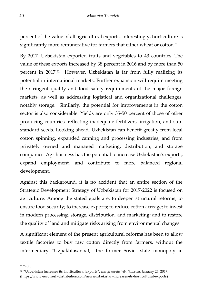percent of the value of all agricultural exports. Interestingly, horticulture is significantly more remunerative for farmers that either wheat or cotton.<sup>51</sup>

By 2017, Uzbekistan exported fruits and vegetables to 43 countries. The value of these exports increased by 38 percent in 2016 and by more than 50 percent in 2017.<sup>52</sup> However, Uzbekistan is far from fully realizing its potential in international markets. Further expansion will require meeting the stringent quality and food safety requirements of the major foreign markets, as well as addressing logistical and organizational challenges, notably storage. Similarly, the potential for improvements in the cotton sector is also considerable. Yields are only 35-50 percent of those of other producing countries, reflecting inadequate fertilizers, irrigation, and substandard seeds. Looking ahead, Uzbekistan can benefit greatly from local cotton spinning, expanded canning and processing industries, and from privately owned and managed marketing, distribution, and storage companies. Agribusiness has the potential to increase Uzbekistan's exports, expand employment, and contribute to more balanced regional development.

Against this background, it is no accident that an entire section of the Strategic Development Strategy of Uzbekistan for 2017-2022 is focused on agriculture. Among the stated goals are: to deepen structural reforms; to ensure food security; to increase exports; to reduce cotton acreage; to invest in modern processing, storage, distribution, and marketing; and to restore the quality of land and mitigate risks arising from environmental changes.

A significant element of the present agricultural reforms has been to allow textile factories to buy raw cotton directly from farmers, without the intermediary "Uzpakhtasanoat," the former Soviet state monopoly in

<sup>51</sup> Ibid.

<sup>52</sup> "Uzbekistan Increases its Horticultural Exports", *Eurofresh-distribution.com*, January 24, 2017. (https://www.eurofresh-distribution.com/news/uzbekistan-increases-its-horticultural-exports)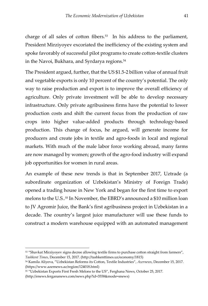charge of all sales of cotton fibers.<sup>53</sup> In his address to the parliament, President Mirziyoyev excoriated the inefficiency of the existing system and spoke favorably of successful pilot programs to create cotton-textile clusters in the Navoi, Bukhara, and Syrdarya regions.<sup>54</sup>

The President argued, further, that the US \$1.5-2 billion value of annual fruit and vegetable exports is only 10 percent of the country's potential. The only way to raise production and export is to improve the overall efficiency of agriculture. Only private investment will be able to develop necessary infrastructure. Only private agribusiness firms have the potential to lower production costs and shift the current focus from the production of raw crops into higher value-added products through technology-based production. This change of focus, he argued, will generate income for producers and create jobs in textile and agro-foods in local and regional markets. With much of the male labor force working abroad, many farms are now managed by women; growth of the agro-food industry will expand job opportunities for women in rural areas.

An example of these new trends is that in September 2017, Uztrade (a subordinate organization of Uzbekistan's Ministry of Foreign Trade) opened a trading house in New York and began for the first time to export melons to the U.S.. <sup>55</sup> In November, the EBRD's announced a \$10 million loan to JV Agromir Juice, the Bank's first agribusiness project in Uzbekistan in a decade. The country's largest juice manufacturer will use these funds to construct a modern warehouse equipped with an automated management

<sup>53</sup> "Shavkat Mirziyoyev signs decree allowing textile firms to purchase cotton straight from farmers", *Tashkent Times*, December 15, 2017. (http://tashkenttimes.uz/economy/1815)

<sup>54</sup> Kamila Aliyeva, "Uzbekistan Reforms its Cotton, Textile Industries", *Azernews*, December 15, 2017. (https://www.azernews.az/region/124018.html)

<sup>55</sup> "Uzbekistan Exports First Fresh Melons to the US", Ferghana News, October 25, 2017. (http://enews.fergananews.com/news.php?id=3558&mode=snews)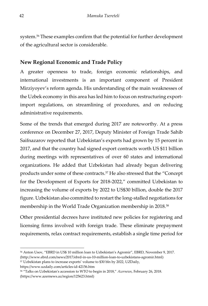system.<sup>56</sup> These examples confirm that the potential for further development of the agricultural sector is considerable.

### <span id="page-43-0"></span>**New Regional Economic and Trade Policy**

A greater openness to trade, foreign economic relationships, and international investments is an important component of President Mirziyoyev's reform agenda. His understanding of the main weaknesses of the Uzbek economy in this area has led him to focus on restructuring exportimport regulations, on streamlining of procedures, and on reducing administrative requirements.

Some of the trends that emerged during 2017 are noteworthy. At a press conference on December 27, 2017, Deputy Minister of Foreign Trade Sahib Saifnazarov reported that Uzbekistan's exports had grown by 15 percent in 2017, and that the country had signed export contracts worth US \$11 billion during meetings with representatives of over 60 states and international organizations. He added that Uzbekistan had already begun delivering products under some of these contracts.<sup>57</sup> He also stressed that the "Concept for the Development of Exports for 2018-2022," committed Uzbekistan to increasing the volume of exports by 2022 to US\$30 billion, double the 2017 figure. Uzbekistan also committed to restart the long-stalled negotiations for membership in the World Trade Organization membership in 2018.<sup>58</sup>

Other presidential decrees have instituted new policies for registering and licensing firms involved with foreign trade. These eliminate prepayment requirements, relax contract requirements, establish a single time period for

<sup>57</sup> Uzbekistan plans to increase exports' volume to \$30 bln by 2022, UZDaily,

https://www.uzdaily.com/articles-id-42156.htm

<sup>-</sup><sup>56</sup> Anton Usov, "EBRD in US\$ 10 million loan to Uzbekistan's Agromir", EBRD, November 9, 2017. (http://www.ebrd.com/news/2017/ebrd-in-us-10-million-loan-to-uzbekistans-agromir.html)

<sup>58</sup> "Talks on Uzbekistan's accession to WTO to begin in 2018," *Azernews*, February 26, 2018. (https://www.azernews.az/region/125623.html)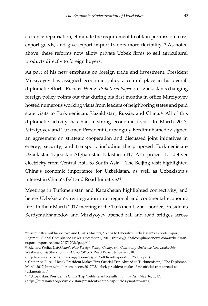currency repatriation, eliminate the requirement to obtain permission to reexport goods, and give export-import traders more flexibility.<sup>59</sup> As noted above, these reforms now allow private Uzbek firms to sell agricultural products directly to foreign buyers.

As part of his new emphasis on foreign trade and investment, President Mirziyoyev has assigned economic policy a central place in his overall diplomatic efforts. Richard Weitz's *Silk Road Paper* on Uzbekistan's changing foreign policy points out that during his first months in office Mirziyoyev hosted numerous working visits from leaders of neighboring states and paid state visits to Turkmenistan, Kazakhstan, Russia, and China.<sup>60</sup> All of this diplomatic activity has had a strong economic focus. In March 2017, Mirziyoyev and Turkmen President Gurbanguly Berdimuhamedov signed an agreement on strategic cooperation and discussed joint initiatives in energy, security, and transport, including the proposed Turkmenistan-Uzbekistan-Tajikistan-Afghanistan-Pakistan (TUTAP) project to deliver electricity from Central Asia to South Asia.<sup>61</sup> The Beijing visit highlighted China's economic importance for Uzbekistan, as well as Uzbekistan's interest in China's Belt and Road Initiative.<sup>62</sup>

Meetings in Turkmenistan and Kazakhstan highlighted connectivity, and hence Uzbekistan's reintegration into regional and continental economic life. In their March 2017 meeting at the Turkmen-Uzbek border, Presidents Berdymukhamedov and Mirziyoyev opened rail and road bridges across

<sup>59</sup> Gulnur Bekmukhanbetova and Curtis Masters, "Steps to Liberalize Uzbekistan's Export-Import Regime", Global Compliance News, December 8, 2017. (https://globalcompliancenews.com/uzbekistanexport-import-regime-20171208/#page=1)

<sup>60</sup> Richard Weitz, *Uzbekistan's New Foreign Policy: Change and Continuity Under the New Leadership*, Washington & Stockholm: CACI-SRSP Silk Road Paper, January 2018.

<sup>(</sup>http://www.silkroadstudies.org/resources/pdf/SilkRoadPapers/1801Weitz.pdf)

<sup>61</sup> Catherine Putz, "Uzbek President Makes First Official Trip Abroad to Turkmenistan," The Diplomat, March 2017, https://thediplomat.com/2017/03/uzbek-president-makes-first-official-trip-abroad-toturkmenistan/.

<sup>62</sup> "Uzbekistan: President's China Trip Yields Giant Results", *EurasiaNet*, May 16, 2017.

<sup>(</sup>https://eurasianet.org/s/uzbekistan-presidents-china-trip-yields-giant-rewards)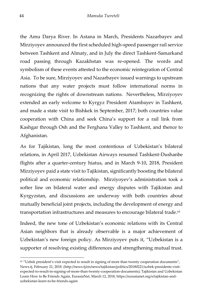the Amu Darya River. In Astana in March, Presidents Nazarbayev and Mirziyoyev announced the first scheduled high-speed passenger rail service between Tashkent and Almaty, and in July the direct Tashkent-Samarkand road passing through Kazakhstan was re-opened. The words and symbolism of these events attested to the economic reintegration of Central Asia. To be sure, Mirziyoyev and Nazarbayev issued warnings to upstream nations that any water projects must follow international norms in recognizing the rights of downstream nations. Nevertheless, Mirziyoyev extended an early welcome to Kyrgyz President Atambayev in Tashkent, and made a state visit to Bishkek in September, 2017; both countries value cooperation with China and seek China's support for a rail link from Kashgar through Osh and the Ferghana Valley to Tashkent, and thence to Afghanistan.

As for Tajikistan, long the most contentious of Uzbekistan's bilateral relations, in April 2017, Uzbekistan Airways resumed Tashkent-Dushanbe flights after a quarter-century hiatus, and in March 9-10, 2018, President Mirziyoyev paid a state visit to Tajikistan, significantly boosting the bilateral political and economic relationship. Mirziyoyev's administration took a softer line on bilateral water and energy disputes with Tajikistan and Kyrgyzstan, and discussions are underway with both countries about mutually beneficial joint projects, including the development of energy and transportation infrastructures and measures to encourage bilateral trade.<sup>63</sup>

Indeed, the new tone of Uzbekistan's economic relations with its Central Asian neighbors that is already observable is a major achievement of Uzbekistan's new foreign policy. As Mirziyoyev puts it, "Uzbekistan is a supporter of resolving existing differences and strengthening mutual trust.

 $63$  "Uzbek president's visit expected to result in signing of more than twenty cooperation documents", News.tj, February 21, 2018. [\(http://news.tj/en/news/tajikistan/politics/20180221/uzbek-presidents-visit](http://news.tj/en/news/tajikistan/politics/20180221/uzbek-presidents-visit-expected-to-result-in-signing-of-more-than-twenty-cooperation-documents)[expected-to-result-in-signing-of-more-than-twenty-cooperation-documents\);](http://news.tj/en/news/tajikistan/politics/20180221/uzbek-presidents-visit-expected-to-result-in-signing-of-more-than-twenty-cooperation-documents) Tajikistan and Uzbekistan Learn How to Be Friends Again, EurasiaNet, March 12, 2018, https://eurasianet.org/s/tajikistan-anduzbekistan-learn-to-be-friends-again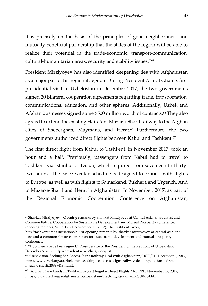It is precisely on the basis of the principles of good-neighborliness and mutually beneficial partnership that the states of the region will be able to realize their potential in the trade-economic, transport-communication, cultural-humanitarian areas, security and stability issues."<sup>64</sup>

President Mirziyoyev has also identified deepening ties with Afghanistan as a major part of his regional agenda. During President Ashraf Ghani's first presidential visit to Uzbekistan in December 2017, the two governments signed 20 bilateral cooperation agreements regarding trade, transportation, communications, education, and other spheres. Additionally, Uzbek and Afghan businesses signed some \$500 million worth of contracts.<sup>65</sup> They also agreed to extend the existing Hairatan–Mazar-i-Sharif railway to the Afghan cities of Sheberghan, Maymana, and Herat.<sup>66</sup> Furthermore, the two governments authorized direct flights between Kabul and Tashkent.<sup>67</sup>

The first direct flight from Kabul to Tashkent, in November 2017, took an hour and a half. Previously, passengers from Kabul had to travel to Tashkent via Istanbul or Dubai, which required from seventeen to thirtytwo hours. The twice-weekly schedule is designed to connect with flights to Europe, as well as with flights to Samarkand, Bukhara and Urgench. And to Mazar-e-Sharif and Herat in Afghanistan. In November, 2017, as part of the Regional Economic Cooperation Conference on Afghanistan,

j

<sup>67</sup> "Afghan Plane Lands in Tashkent to Start Regular Direct Flights," RFE/RL, November 29, 2017, https://www.rferl.org/a/afghanistan-uzbekistan-direct-flights-kam-air/28886184.html.

<sup>64</sup> Shavkat Mirziyoyev, "Opening remarks by Shavkat Mirziyoyev at Central Asia: Shared Past and Common Future, Cooperation for Sustainable Development and Mutual Prosperity conference," (opening remarks, Samarkand, November 11, 2017), The Tashkent Times,

http://tashkenttimes.uz/national/1670-opening-remarks-by-shavkat-mirziyoyev-at-central-asia-onepast-and-a-common-future-cooperation-for-sustainable-development-and-mutual-prosperityconference.

<sup>65</sup> "Documents have been signed," Press Service of the President of the Republic of Uzbekistan, December 5, 2017, http://president.uz/en/lists/view/1315.

<sup>66</sup> "Uzbekistan, Seeking Sea Access, Signs Railway Deal with Afghanistan," RFE/RL, December 6, 2017, https://www.rferl.org/a/uzbekistan-seeaking-sea-access-signs-railway-deal-afghanistan-hairatanmazar-e-sharif/28899419.htmlt.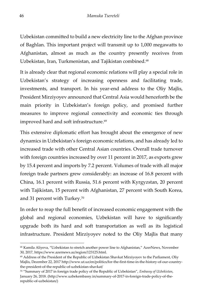Uzbekistan committed to build a new electricity line to the Afghan province of Baghlan. This important project will transmit up to 1,000 megawatts to Afghanistan, almost as much as the country presently receives from Uzbekistan, Iran, Turkmenistan, and Tajikistan combined.<sup>68</sup>

It is already clear that regional economic relations will play a special role in Uzbekistan's strategy of increasing openness and facilitating trade, investments, and transport. In his year-end address to the Oliy Majlis, President Mirziyoyev announced that Central Asia would henceforth be the main priority in Uzbekistan's foreign policy, and promised further measures to improve regional connectivity and economic ties through improved hard and soft infrastructure.<sup>69</sup>

This extensive diplomatic effort has brought about the emergence of new dynamics in Uzbekistan's foreign economic relations, and has already led to increased trade with other Central Asian countries. Overall trade turnover with foreign countries increased by over 11 percent in 2017, as exports grew by 15.4 percent and imports by 7.2 percent. Volumes of trade with all major foreign trade partners grew considerably: an increase of 16.8 percent with China, 16.1 percent with Russia, 51.6 percent with Kyrgyzstan, 20 percent with Tajikistan, 15 percent with Afghanistan, 27 percent with South Korea, and 31 percent with Turkey.<sup>70</sup>

In order to reap the full benefit of increased economic engagement with the global and regional economies, Uzbekistan will have to significantly upgrade both its hard and soft transportation as well as its logistical infrastructure. President Mirziyoyev noted to the Oliy Majlis that many

<sup>68</sup> Kamila Aliyeva, "Uzbekistan to stretch another power line to Afghanistan," AzerNews, November 30, 2017, https://www.azernews.az/region/123125.html.

<sup>69</sup> Address of the President of the Republic of Uzbekistan Shavkat Mirziyoyev to the Parliament, Oliy Majlis, December 22, 2017 http://www.ut.uz/en/politics/for-the-first-time-in-the-history-of-our-countrythe-president-of-the-republic-of-uzbekistan-shavkat/

<sup>70</sup> "Summary of 2017 in foreign trade policy of the Republic of Uzbekistan", *Embassy of Uzbekistan*, January 26, 2018. (http://www.uzbekembassy.in/summary-of-2017-in-foreign-trade-policy-of-therepublic-of-uzbekistan/)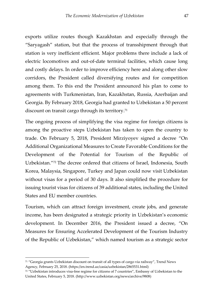exports utilize routes though Kazakhstan and especially through the "Saryagash" station, but that the process of transshipment through that station is very inefficient efficient. Major problems there include a lack of electric locomotives and out-of-date terminal facilities, which cause long and costly delays. In order to improve efficiency here and along other slow corridors, the President called diversifying routes and for competition among them. To this end the President announced his plan to come to agreements with Turkmenistan, Iran, Kazakhstan, Russia, Azerbaijan and Georgia. By February 2018, Georgia had granted to Uzbekistan a 50 percent discount on transit cargo through its territory.<sup>71</sup>

The ongoing process of simplifying the visa regime for foreign citizens is among the proactive steps Uzbekistan has taken to open the country to trade. On February 5, 2018, President Mirziyoyev signed a decree "On Additional Organizational Measures to Create Favorable Conditions for the Development of the Potential for Tourism of the Republic of Uzbekistan."<sup>72</sup> The decree ordered that citizens of Israel, Indonesia, South Korea, Malaysia, Singapore, Turkey and Japan could now visit Uzbekistan without visas for a period of 30 days. It also simplified the procedure for issuing tourist visas for citizens of 39 additional states, including the United States and EU member countries.

Tourism, which can attract foreign investment, create jobs, and generate income, has been designated a strategic priority in Uzbekistan's economic development. In December 2016, the President issued a decree, "On Measures for Ensuring Accelerated Development of the Tourism Industry of the Republic of Uzbekistan," which named tourism as a strategic sector

<sup>71</sup> "Georgia grants Uzbekistan discount on transit of all types of cargo via railway", Trend News Agency, February 25, 2018. (https://en.trend.az/casia/uzbekistan/2865531.html)

<sup>72</sup> "Uzbekistan introduces visa-free regime for citizens of 7 countries", Embassy of Uzbekistan to the United States, February 5, 2018. (http://www.uzbekistan.org/news/archive/9808)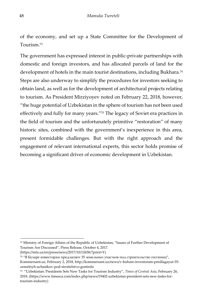of the economy, and set up a State Committee for the Development of Tourism<sup>73</sup>

The government has expressed interest in public-private partnerships with domestic and foreign investors, and has allocated parcels of land for the development of hotels in the main tourist destinations, including Bukhara.<sup>74</sup> Steps are also underway to simplify the procedures for investors seeking to obtain land, as well as for the development of architectural projects relating to tourism. As President Mirziyoyev noted on February 22, 2018, however, "the huge potential of Uzbekistan in the sphere of tourism has not been used effectively and fully for many years."<sup>75</sup> The legacy of Soviet era practices in the field of tourism and the unfortunately primitive "restoration" of many historic sites, combined with the government's inexperience in this area, present formidable challenges. But with the right approach and the engagement of relevant international experts, this sector holds promise of becoming a significant driver of economic development in Uzbekistan.

<sup>73</sup> Ministry of Foreign Affairs of the Republic of Uzbekistan, "Issues of Further Development of Tourism Are Discussed", Press Release, October 4, 2017. (https://mfa.uz/en/press/news/2017/10/12658/?print=Y)

<sup>74</sup> "В Бухаре инвесторам предлагают 35 земельных участков под строительство гостиниц", Kommersant.uz, February 2, 2018, http://kommersant.uz/news/v-buhare-investoram-predlagayut-35 zemelnyh-uchastkov-pod-stroitelstvo-gostinits

<sup>75</sup> "Uzbekistan: Presidents Sets New Tasks for Tourism Industry", *Times of Central Asia*, February 26, 2018. (https://www.timesca.com/index.php/news/19402-uzbekistan-president-sets-new-tasks-fortourism-industry)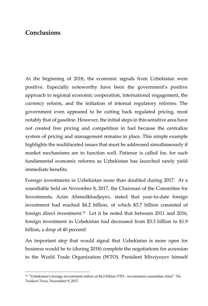## <span id="page-50-0"></span>**Conclusions**

j

At the beginning of 2018, the economic signals from Uzbekistan were positive. Especially noteworthy have been the government's positive approach to regional economic cooperation, international engagement, the currency reform, and the initiation of internal regulatory reforms. The government even appeared to be cutting back regulated pricing, most notably that of gasoline. However, the initial steps in this sensitive area have not created free pricing and competition in fuel because the centralize system of pricing and management remains in place. This simple example highlights the multifaceted issues that must be addressed simultaneously if market mechanisms are to function well. Patience is called for, for such fundamental economic reforms as Uzbekistan has launched rarely yield immediate benefits.

Foreign investments in Uzbekistan more than doubled during 2017. At a roundtable held on November 8, 2017, the Chairman of the Committee for Investments, Azim Ahmedkhadjayev, stated that year-to-date foreign investment had reached \$4.2 billion, of which \$3.7 billion consisted of foreign direct investment.<sup>76</sup> Let it be noted that between 2011 and 2016, foreign investment in Uzbekistan had decreased from \$3.3 billion to \$1.9 billion, a drop of 40 percent!

An important step that would signal that Uzbekistan is more open for business would be to (during 2018) complete the negotiations for accession to the World Trade Organization (WTO). President Mirziyoyev himself

<sup>76</sup> "Uzbekistan's foreign investments inflow at \$4.2 billion YTD - investments committee chief," *The Tashkent Times*, November 9, 2017.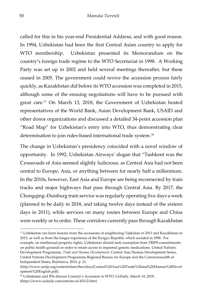called for this in his year-end Presidential Address, and with good reason. In 1994, Uzbekistan had been the first Central Asian country to apply for WTO membership. Uzbekistan presented its Memorandum on the country's foreign trade regime to the WTO Secretariat in 1998. A Working Party was set up in 2002 and held several meetings thereafter, but these ceased in 2005. The government could revive the accession process fairly quickly, as Kazakhstan did before its WTO accession was completed in 2015, although some of the ensuing negotiations will have to be pursued with great care.<sup>77</sup> On March 13, 2018, the Government of Uzbekistan hosted representatives of the World Bank, Asian Development Bank, USAID and other donor organizations and discussed a detailed 34-point accession plan "Road Map" for Uzbekistan's entry into WTO, thus demonstrating clear determination to join rules-based international trade system.<sup>78</sup>

The change in Uzbekistan's presidency coincided with a novel window of opportunity. In 1992, Uzbekistan Airways' slogan that "Tashkent was the Crossroads of Asia seemed slightly ludicrous, as Central Asia had not been central to Europe, Asia, or anything between for nearly half a millennium. In the 2010s, however, East Asia and Europe are being reconnected by train tracks and major highways that pass through Central Asia. By 2017, the Chongqing–Duisburg train service was regularly operating five days a week (planned to be daily in 2018, and taking twelve days instead of the sixteen days in 2011), while services on many routes between Europe and China were weekly or to order. These corridors currently pass through Kazakhstan

<sup>77</sup> Uzbekistan can learn lessons from the accessions of neighboring Tajikistan in 2013 and Kazakhstan in 2015, as well as from the longer experience of the Kyrgyz Republic which acceded in 1998. For example, on intellectual property rights, Uzbekistan should seek exemption from TRIPS commitments on public health grounds in order to retain access to imported generic medications. United Nations Development Programme, *Trade and Human Development*, Central Asia Human Development Series, United Nations Development Programme Regional Bureau for Europe and the Commonwealth of Independent States, Bratislava, 2014, p. 21.

<sup>(</sup>http://www.undp.org/content/dam/rbec/docs/Central%20Asia%20Trade%20and%20Human%20Devel opment%20English.pdf).

<sup>78</sup> Uzbekistan and IFIs discuss Country's Accession to WTO, UzDaily, March 14, 2018. (https://www.uzdaily.com/articles-id-43112.htm)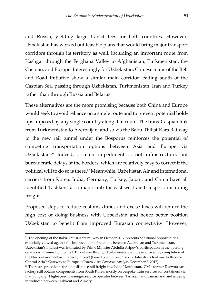and Russia, yielding large transit fees for both countries. However, Uzbekistan has worked out feasible plans that would bring major transport corridors through its territory as well, including an important route from Kashgar through the Ferghana Valley to Afghanistan, Turkmenistan, the Caspian, and Europe. Interestingly for Uzbekistan, Chinese maps of the Belt and Road Initiative show a similar main corridor leading south of the Caspian Sea, passing through Uzbekistan, Turkmenistan, Iran and Turkey rather than through Russia and Belarus.

These alternatives are the more promising because both China and Europe would seek to avoid reliance on a single route and to prevent potential holdups imposed by any single country along that route. The trans-Caspian link from Turkmenistan to Azerbaijan, and so via the Baku-Tbilisi-Kars Railway to the new rail tunnel under the Bosporus reinforces the potential of competing transportation options between Asia and Europe via Uzbekistan.<sup>79</sup> Indeed, a main impediment is not infrastructure, but bureaucratic delays at the borders, which are relatively easy to correct if the political will to do so is there.<sup>80</sup> Meanwhile, Uzbekistan Air and international carriers from Korea, India, Germany, Turkey, Japan, and China have all identified Tashkent as a major hub for east-west air transport, including freight.

Proposed steps to reduce customs duties and excise taxes will reduce the high cost of doing business with Uzbekistan and he*n*ce better position Uzbekistan to benefit from improved Eurasian connectivity. However,

<sup>79</sup> The opening of the Baku-Tbilisi-Kars railway in October 2017 presents additional opportunities, especially viewed against the improvement of relations between Azerbaijan and Turkmenistan. Uzbekistan's interest was indicated by Prime Minister Abdulla Aripov's participation in the opening ceremony. Connection to the BTK railway through Turkmenistan will be improved by completion of the Navoi–Turkmenbashi railway project (Fuaed Shahbazov, "Baku-Tbilisi-Kars Railway to Become Central Asia's Gateway to Europe," *Central Asia-Caucasus Analyst*, December 7, 2017).

<sup>80</sup> There are precedents for long-distance rail freight involving Uzbekistan. GM's former Daewoo car factory still obtains components from South Korea, mostly on bespoke train services for containers via Lianyungang. High-speed passenger service operates between Tashkent and Samarkand and is being introduced between Tashkent and Almaty.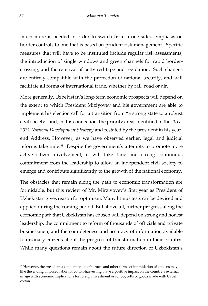much more is needed in order to switch from a one-sided emphasis on border controls to one that is based on prudent risk management. Specific measures that will have to be instituted include regular risk assessments, the introduction of single windows and green channels for rapid bordercrossing, and the removal of petty red tape and regulation. Such changes are entirely compatible with the protection of national security, and will facilitate all forms of international trade, whether by rail, road or air.

More generally, Uzbekistan's long-term economic prospects will depend on the extent to which President Miziyoyev and his government are able to implement his election call for a transition from "a strong state to a robust civil society" and, in this connection, the priority areas identified in the *2017- 2021 National Development Strategy* and restated by the president in his yearend Address. However, as we have observed earlier, legal and judicial reforms take time.<sup>81</sup> Despite the government's attempts to promote more active citizen involvement, it will take time and strong continuous commitment from the leadership to allow an independent civil society to emerge and contribute significantly to the growth of the national economy.

The obstacles that remain along the path to economic transformation are formidable, but this review of Mr. Mirziyoyev's first year as President of Uzbekistan gives reason for optimism. Many litmus tests can be devised and applied during the coming period. But above all, further progress along the economic path that Uzbekistan has chosen will depend on strong and honest leadership, the commitment to reform of thousands of officials and private businessmen, and the completeness and accuracy of information available to ordinary citizens about the progress of transformation in their country. While many questions remain about the future direction of Uzbekistan's

<sup>81</sup> However, the president's condemnation of torture and other forms of intimidation of citizens may, like the ending of forced labor for cotton-harvesting, have a positive impact on the country's external image with economic implications for foreign investment or for boycotts of goods made with Uzbek cotton.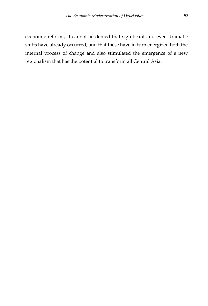economic reforms, it cannot be denied that significant and even dramatic shifts have already occurred, and that these have in turn energized both the internal process of change and also stimulated the emergence of a new regionalism that has the potential to transform all Central Asia.